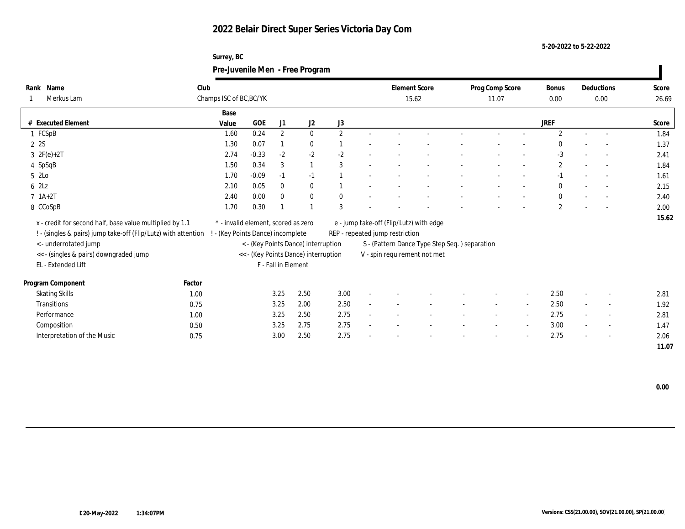#### **Surrey, BC Pre-Juvenile Men - Free Program**

|                                                                  |        |                                     |          |                     | $\tilde{\phantom{a}}$                |              |                                               |                      |                 |                          |              |                          |       |
|------------------------------------------------------------------|--------|-------------------------------------|----------|---------------------|--------------------------------------|--------------|-----------------------------------------------|----------------------|-----------------|--------------------------|--------------|--------------------------|-------|
| Rank Name                                                        | Club   |                                     |          |                     |                                      |              |                                               | <b>Element Score</b> | Prog Comp Score |                          | Bonus        | Deductions               | Score |
| Merkus Lam                                                       |        | Champs ISC of BC, BC/YK             |          |                     |                                      |              |                                               | 15.62                | 11.07           |                          | $0.00\,$     | $0.00\,$                 | 26.69 |
|                                                                  |        | Base                                |          |                     |                                      |              |                                               |                      |                 |                          |              |                          |       |
| # Executed Element                                               |        | Value                               | GOE      | J1                  | J2                                   | J3           |                                               |                      |                 |                          | <b>JREF</b>  |                          | Score |
| 1 FCSpB                                                          |        | 1.60                                | 0.24     | $\mathbf{2}$        | $\bf{0}$                             | $\mathbf{2}$ |                                               |                      |                 |                          | 2            | $\sim$                   | 1.84  |
| 2 2S                                                             |        | 1.30                                | 0.07     |                     | $\bf{0}$                             |              |                                               |                      |                 |                          | $\Omega$     |                          | 1.37  |
| 3 $2F(e)+2T$                                                     |        | 2.74                                | $-0.33$  | $-2$                | $-2$                                 | $-2$         |                                               |                      |                 |                          | $-3$         | $\overline{\phantom{a}}$ | 2.41  |
| 4 SpSqB                                                          |        | 1.50                                | 0.34     | 3                   | $\mathbf{1}$                         | 3            |                                               |                      |                 |                          | $\mathbf{2}$ | $\overline{\phantom{a}}$ | 1.84  |
| 5 2Lo                                                            |        | 1.70                                | $-0.09$  | $-1$                | $-1$                                 |              |                                               |                      |                 |                          | $-1$         | $\overline{\phantom{a}}$ | 1.61  |
| 62Lz                                                             |        | 2.10                                | 0.05     | $\mathbf{0}$        | $\bf{0}$                             |              |                                               |                      |                 |                          | $\mathbf{0}$ | $\sim$                   | 2.15  |
| $7 \; 1A+2T$                                                     |        | 2.40                                | 0.00     | $\mathbf{0}$        | $\bf{0}$                             | $\mathbf{0}$ |                                               |                      |                 |                          | $\mathbf{0}$ | $\sim$                   | 2.40  |
| 8 CCoSpB                                                         |        | 1.70                                | $0.30\,$ |                     |                                      | 3            |                                               |                      |                 |                          | $\mathbf{2}$ | $\overline{a}$           | 2.00  |
| x - credit for second half, base value multiplied by 1.1         |        | * - invalid element, scored as zero |          |                     |                                      |              | e - jump take-off (Flip/Lutz) with edge       |                      |                 |                          |              |                          | 15.62 |
|                                                                  |        | - (Key Points Dance) incomplete     |          |                     |                                      |              | REP - repeated jump restriction               |                      |                 |                          |              |                          |       |
| ! - (singles & pairs) jump take-off (Flip/Lutz) with attention ! |        |                                     |          |                     |                                      |              |                                               |                      |                 |                          |              |                          |       |
| <- underrotated jump                                             |        |                                     |          |                     | < - (Key Points Dance) interruption  |              | S - (Pattern Dance Type Step Seq.) separation |                      |                 |                          |              |                          |       |
| << - (singles & pairs) downgraded jump                           |        |                                     |          |                     | << - (Key Points Dance) interruption |              | V - spin requirement not met                  |                      |                 |                          |              |                          |       |
| EL - Extended Lift                                               |        |                                     |          | F - Fall in Element |                                      |              |                                               |                      |                 |                          |              |                          |       |
| Program Component                                                | Factor |                                     |          |                     |                                      |              |                                               |                      |                 |                          |              |                          |       |
| <b>Skating Skills</b>                                            | 1.00   |                                     |          | 3.25                | 2.50                                 | 3.00         |                                               |                      |                 |                          | 2.50         | $\overline{\phantom{a}}$ | 2.81  |
| Transitions                                                      | 0.75   |                                     |          | 3.25                | 2.00                                 | 2.50         |                                               |                      |                 | $\sim$                   | 2.50         | $\sim$                   | 1.92  |
| Performance                                                      | 1.00   |                                     |          | 3.25                | 2.50                                 | 2.75         |                                               |                      |                 |                          | 2.75         | $\overline{\phantom{a}}$ | 2.81  |
| Composition                                                      | 0.50   |                                     |          | 3.25                | 2.75                                 | 2.75         |                                               |                      |                 | $\overline{\phantom{a}}$ | 3.00         | $\overline{\phantom{a}}$ | 1.47  |
| Interpretation of the Music                                      | 0.75   |                                     |          | 3.00                | 2.50                                 | 2.75         |                                               |                      |                 | $\overline{\phantom{a}}$ | 2.75         | $\overline{\phantom{a}}$ | 2.06  |
|                                                                  |        |                                     |          |                     |                                      |              |                                               |                      |                 |                          |              |                          | 11.07 |

 **0.00**

 $\mathbf{I}$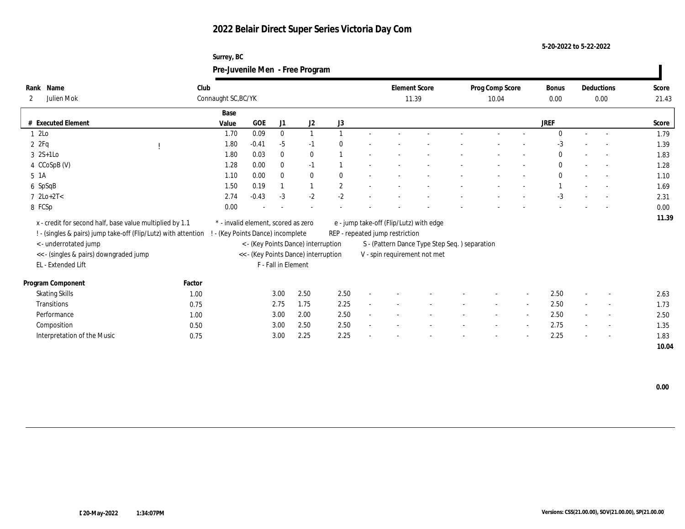#### **Surrey, BC Pre-Juvenile Men - Free Program**

|                                                                |                     |                                     |                     | $\tilde{\phantom{a}}$                |                |                                               |       |                 |                          |              |          |                          |       |
|----------------------------------------------------------------|---------------------|-------------------------------------|---------------------|--------------------------------------|----------------|-----------------------------------------------|-------|-----------------|--------------------------|--------------|----------|--------------------------|-------|
| Rank Name                                                      | Club                |                                     |                     |                                      |                | <b>Element Score</b>                          |       | Prog Comp Score |                          | Bonus        |          | Deductions               | Score |
| Julien Mok<br>$\mathbf{2}$                                     | Connaught SC, BC/YK |                                     |                     |                                      |                |                                               | 11.39 | 10.04           |                          | $0.00\,$     | $0.00\,$ |                          | 21.43 |
|                                                                | Base                |                                     |                     |                                      |                |                                               |       |                 |                          |              |          |                          |       |
| # Executed Element                                             | Value               | GOE                                 | J1                  | J2                                   | J3             |                                               |       |                 |                          | <b>JREF</b>  |          |                          | Score |
| 1 2Lo                                                          | 1.70                | 0.09                                | $\bf{0}$            | $\mathbf{1}$                         | $\mathbf{1}$   |                                               |       |                 |                          | $\Omega$     |          | $\sim$                   | 1.79  |
| 2ZFq                                                           | 1.80                | $-0.41$                             | $-5$                | $-1$                                 | $\mathbf{0}$   |                                               |       |                 |                          | $-3$         |          |                          | 1.39  |
| $3 \quad 2S+1LO$                                               | 1.80                | 0.03                                | $\mathbf{0}$        | $\bf{0}$                             |                |                                               |       |                 |                          | $\mathbf{0}$ |          | $\sim$                   | 1.83  |
| 4 CCoSpB (V)                                                   | 1.28                | 0.00                                | $\mathbf{0}$        | $-1$                                 |                |                                               |       |                 |                          | $\mathbf{0}$ |          | $\sim$                   | 1.28  |
| $5 \; 1A$                                                      | 1.10                | 0.00                                | $\mathbf{0}$        | $\mathbf{0}$                         | $\mathbf{0}$   |                                               |       |                 |                          | $\mathbf{0}$ |          |                          | 1.10  |
| 6 SpSqB                                                        | 1.50                | 0.19                                |                     | $\mathbf{1}$                         | $\overline{2}$ |                                               |       |                 |                          |              |          | $\sim$                   | 1.69  |
| $7 \text{ } 2\text{Lo}+2\text{T} < 7$                          | 2.74                | $-0.43$                             | $-3$                | $-2$                                 | $-2$           |                                               |       |                 |                          | $-3$         |          | $\sim$                   | 2.31  |
| 8 FCSp                                                         | 0.00                |                                     |                     |                                      |                |                                               |       |                 |                          |              |          |                          | 0.00  |
| x - credit for second half, base value multiplied by 1.1       |                     | * - invalid element, scored as zero |                     |                                      |                | e - jump take-off (Flip/Lutz) with edge       |       |                 |                          |              |          |                          | 11.39 |
|                                                                |                     | - (Key Points Dance) incomplete     |                     |                                      |                | REP - repeated jump restriction               |       |                 |                          |              |          |                          |       |
| ! - (singles & pairs) jump take-off (Flip/Lutz) with attention |                     |                                     |                     |                                      |                |                                               |       |                 |                          |              |          |                          |       |
| <- underrotated jump                                           |                     |                                     |                     | < - (Key Points Dance) interruption  |                | S - (Pattern Dance Type Step Seq.) separation |       |                 |                          |              |          |                          |       |
| << - (singles & pairs) downgraded jump<br>EL - Extended Lift   |                     |                                     | F - Fall in Element | << - (Key Points Dance) interruption |                | V - spin requirement not met                  |       |                 |                          |              |          |                          |       |
|                                                                |                     |                                     |                     |                                      |                |                                               |       |                 |                          |              |          |                          |       |
| Program Component                                              | Factor              |                                     |                     |                                      |                |                                               |       |                 |                          |              |          |                          |       |
| <b>Skating Skills</b>                                          | 1.00                |                                     | 3.00                | 2.50                                 | 2.50           |                                               |       |                 |                          | 2.50         |          | $\overline{\phantom{a}}$ | 2.63  |
| Transitions                                                    | 0.75                |                                     | 2.75                | 1.75                                 | 2.25           |                                               |       | $\sim$          | $\sim$                   | 2.50         | $\sim$   | $\sim$                   | 1.73  |
| Performance                                                    | 1.00                |                                     | 3.00                | 2.00                                 | 2.50           |                                               |       |                 | $\overline{\phantom{a}}$ | 2.50         |          | $\overline{\phantom{a}}$ | 2.50  |
| Composition                                                    | 0.50                |                                     | 3.00                | 2.50                                 | 2.50           |                                               |       |                 | $\sim$                   | 2.75         |          | $\sim$                   | 1.35  |
| Interpretation of the Music                                    | 0.75                |                                     | 3.00                | 2.25                                 | 2.25           |                                               |       |                 | $\overline{\phantom{a}}$ | 2.25         |          | $\sim$                   | 1.83  |
|                                                                |                     |                                     |                     |                                      |                |                                               |       |                 |                          |              |          |                          | 10.04 |

 **0.00**

 $\mathbf{I}$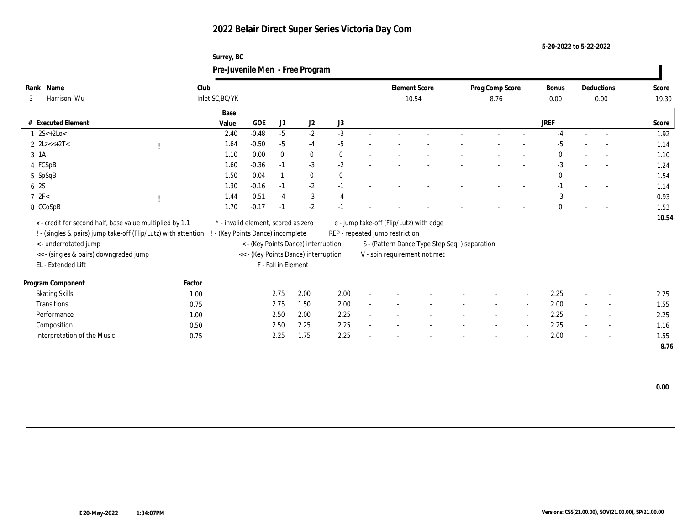**Surrey, BC Pre-Juvenile Men - Free Program**

| Rank Name                                                      | Club   |                                     |                               |                     |                                      |              |                                 | <b>Element Score</b>                          | Prog Comp Score |                          | Bonus        |        | Deductions               | Score |
|----------------------------------------------------------------|--------|-------------------------------------|-------------------------------|---------------------|--------------------------------------|--------------|---------------------------------|-----------------------------------------------|-----------------|--------------------------|--------------|--------|--------------------------|-------|
| Harrison Wu<br>3                                               |        | Inlet SC, BC/YK                     |                               |                     |                                      |              |                                 | 10.54                                         | 8.76            |                          | $0.00\,$     | 0.00   |                          | 19.30 |
|                                                                |        | Base                                |                               |                     |                                      |              |                                 |                                               |                 |                          |              |        |                          |       |
| # Executed Element                                             |        | Value                               | <b>GOE</b>                    | J1                  | J2                                   | J3           |                                 |                                               |                 |                          | <b>JREF</b>  |        |                          | Score |
| $1 \, 2S < +2Lo <$                                             |        | 2.40                                | $-0.48$                       | $-5$                | $-2$                                 | $-3$         |                                 |                                               |                 |                          | -4           |        | $\overline{\phantom{a}}$ | 1.92  |
| 2 $2Lz < +2T <$                                                |        | 1.64                                | $-0.50$                       | $-5$                | $-4$                                 | $-5$         |                                 |                                               |                 |                          | $-5$         |        |                          | 1.14  |
| 3 1A                                                           |        | 1.10                                | 0.00                          | $\mathbf{0}$        | $\bf{0}$                             | $\mathbf{0}$ |                                 |                                               |                 |                          | $\mathbf{0}$ |        | $\sim$                   | 1.10  |
| 4 FCSpB                                                        |        | 1.60                                | $-0.36$                       | $-1$                | $-3$                                 | $-2$         |                                 |                                               |                 |                          | $-3$         |        | $\sim$                   | 1.24  |
| 5 SpSqB                                                        |        | 1.50                                | 0.04                          |                     | $\bf{0}$                             | $\mathbf{0}$ |                                 |                                               |                 |                          | $\mathbf{0}$ |        | $\sim$                   | 1.54  |
| 6 2S                                                           |        | 1.30                                | $-0.16$                       | $-1$                | $-2$                                 | $-1$         |                                 |                                               |                 |                          | $-1$         |        | $\overline{a}$           | 1.14  |
| 72F<                                                           |        | 1.44                                | $-0.51$                       | $-4$                | $-3$                                 | $-4$         |                                 |                                               |                 |                          | $-3$         |        | $\overline{\phantom{a}}$ | 0.93  |
| 8 CCoSpB                                                       |        | 1.70                                | $-0.17$                       | $-1$                | $-2$                                 | $-1$         |                                 |                                               |                 |                          | $\theta$     |        |                          | 1.53  |
| x - credit for second half, base value multiplied by 1.1       |        | * - invalid element, scored as zero |                               |                     |                                      |              |                                 | e - jump take-off (Flip/Lutz) with edge       |                 |                          |              |        |                          | 10.54 |
|                                                                |        |                                     | (Key Points Dance) incomplete |                     |                                      |              | REP - repeated jump restriction |                                               |                 |                          |              |        |                          |       |
| ! - (singles & pairs) jump take-off (Flip/Lutz) with attention |        |                                     |                               |                     |                                      |              |                                 |                                               |                 |                          |              |        |                          |       |
| <- underrotated jump                                           |        |                                     |                               |                     | < - (Key Points Dance) interruption  |              |                                 | S - (Pattern Dance Type Step Seq.) separation |                 |                          |              |        |                          |       |
| << - (singles & pairs) downgraded jump                         |        |                                     |                               |                     | << - (Key Points Dance) interruption |              |                                 | V - spin requirement not met                  |                 |                          |              |        |                          |       |
| EL - Extended Lift                                             |        |                                     |                               | F - Fall in Element |                                      |              |                                 |                                               |                 |                          |              |        |                          |       |
| Program Component                                              | Factor |                                     |                               |                     |                                      |              |                                 |                                               |                 |                          |              |        |                          |       |
| <b>Skating Skills</b>                                          | 1.00   |                                     |                               | 2.75                | 2.00                                 | 2.00         |                                 |                                               |                 | $\overline{\phantom{a}}$ | 2.25         |        | $\overline{\phantom{a}}$ | 2.25  |
| Transitions                                                    | 0.75   |                                     |                               | 2.75                | 1.50                                 | 2.00         |                                 |                                               | $\sim$          | $\sim$                   | 2.00         | $\sim$ | $\sim$                   | 1.55  |
| Performance                                                    | 1.00   |                                     |                               | 2.50                | 2.00                                 | 2.25         |                                 |                                               |                 | $\overline{\phantom{a}}$ | 2.25         |        | $\overline{\phantom{a}}$ | 2.25  |
| Composition                                                    | 0.50   |                                     |                               | 2.50                | 2.25                                 | 2.25         |                                 |                                               |                 | $\overline{\phantom{a}}$ | 2.25         |        | $\sim$                   | 1.16  |
| Interpretation of the Music                                    | 0.75   |                                     |                               | 2.25                | 1.75                                 | 2.25         |                                 |                                               |                 |                          | 2.00         |        | $\sim$                   | 1.55  |
|                                                                |        |                                     |                               |                     |                                      |              |                                 |                                               |                 |                          |              |        |                          | 8.76  |

 **0.00**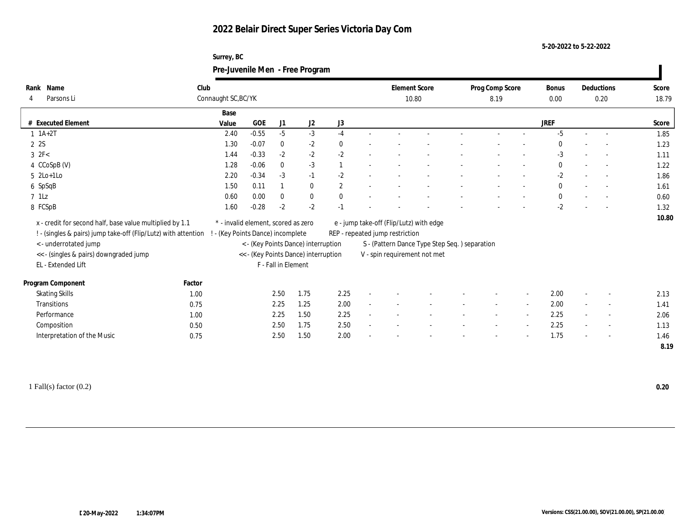#### **Surrey, BC Pre-Juvenile Men - Free Program**

|                  |                                                                |                                   |                                     |                     | ັ                                    |              |  |                                 |                                               |  |                 |        |              |        |                          |       |
|------------------|----------------------------------------------------------------|-----------------------------------|-------------------------------------|---------------------|--------------------------------------|--------------|--|---------------------------------|-----------------------------------------------|--|-----------------|--------|--------------|--------|--------------------------|-------|
| Rank             | Name                                                           | Club                              |                                     |                     |                                      |              |  | <b>Element Score</b>            |                                               |  | Prog Comp Score |        | Bonus        |        | Deductions               | Score |
| 4                | Parsons Li                                                     |                                   | Connaught SC, BC/YK<br>10.80        |                     |                                      |              |  |                                 |                                               |  |                 |        | 0.00         | 0.20   |                          | 18.79 |
|                  |                                                                | Base                              |                                     |                     |                                      |              |  |                                 |                                               |  |                 |        |              |        |                          |       |
|                  | # Executed Element                                             | Value                             | GOE                                 | J1                  | J2                                   | J3           |  |                                 |                                               |  |                 |        | JREF         |        |                          | Score |
|                  | $1 \ 1A+2T$                                                    | 2.40                              | $-0.55$                             | $-5$                | $-3$                                 | $-4$         |  |                                 |                                               |  |                 |        | $-5$         |        |                          | 1.85  |
| 2 2S             |                                                                | 1.30                              | $-0.07$                             | $\bf{0}$            | $-2$                                 | $\mathbf{0}$ |  |                                 |                                               |  |                 |        | $\mathbf{0}$ |        |                          | 1.23  |
| $3 \text{ } 2F<$ |                                                                | 1.44                              | $-0.33$                             | $-2$                | $-2$                                 | $-2$         |  |                                 |                                               |  |                 |        | $-3$         |        |                          | 1.11  |
|                  | 4 CCoSpB (V)                                                   | 1.28                              | $-0.06$                             | $\mathbf{0}$        | $-3$                                 |              |  |                                 |                                               |  |                 |        | $\mathbf{0}$ | $\sim$ |                          | 1.22  |
|                  | $5 \ \ 2Lo+1Lo$                                                | 2.20                              | $-0.34$                             | $-3$                | $-1$                                 | $-2$         |  |                                 |                                               |  |                 |        | $-2$         |        | $\sim$                   | 1.86  |
|                  | 6 SpSqB                                                        | 1.50                              | 0.11                                |                     | $\mathbf{0}$                         | 2            |  |                                 |                                               |  |                 |        | $\mathbf{0}$ |        | $\overline{a}$           | 1.61  |
| $7$ 1Lz          |                                                                | 0.60                              | 0.00                                | $\mathbf{0}$        | $\bf{0}$                             | $\mathbf{0}$ |  |                                 |                                               |  |                 |        | $\bf{0}$     |        |                          | 0.60  |
|                  | 8 FCSpB                                                        | 1.60                              | $-0.28$                             | $-2$                | $-2$                                 | $-1$         |  |                                 |                                               |  |                 |        | $-2$         |        |                          | 1.32  |
|                  | x - credit for second half, base value multiplied by 1.1       |                                   | * - invalid element, scored as zero |                     |                                      |              |  |                                 | e - jump take-off (Flip/Lutz) with edge       |  |                 |        |              |        |                          | 10.80 |
|                  | ! - (singles & pairs) jump take-off (Flip/Lutz) with attention | ! - (Key Points Dance) incomplete |                                     |                     |                                      |              |  | REP - repeated jump restriction |                                               |  |                 |        |              |        |                          |       |
|                  | < - underrotated jump                                          |                                   |                                     |                     | < - (Key Points Dance) interruption  |              |  |                                 | S - (Pattern Dance Type Step Seq.) separation |  |                 |        |              |        |                          |       |
|                  | << - (singles & pairs) downgraded jump                         |                                   |                                     |                     | << - (Key Points Dance) interruption |              |  |                                 | V - spin requirement not met                  |  |                 |        |              |        |                          |       |
|                  | EL - Extended Lift                                             |                                   |                                     | F - Fall in Element |                                      |              |  |                                 |                                               |  |                 |        |              |        |                          |       |
|                  |                                                                |                                   |                                     |                     |                                      |              |  |                                 |                                               |  |                 |        |              |        |                          |       |
|                  | Program Component                                              | Factor                            |                                     |                     |                                      |              |  |                                 |                                               |  |                 |        |              |        |                          |       |
|                  | <b>Skating Skills</b>                                          | 1.00                              |                                     | 2.50                | 1.75                                 | 2.25         |  |                                 |                                               |  |                 |        | 2.00         |        |                          | 2.13  |
|                  | Transitions                                                    | 0.75                              |                                     | 2.25                | 1.25                                 | 2.00         |  |                                 |                                               |  |                 |        | 2.00         |        | $\sim$                   | 1.41  |
|                  | Performance                                                    | 1.00                              |                                     | 2.25                | 1.50                                 | 2.25         |  |                                 |                                               |  |                 | $\sim$ | 2.25         |        | $\overline{\phantom{a}}$ | 2.06  |
|                  | Composition                                                    | 0.50                              |                                     | 2.50                | 1.75                                 | 2.50         |  |                                 |                                               |  |                 | $\sim$ | 2.25         |        | $\overline{\phantom{a}}$ | 1.13  |
|                  | Interpretation of the Music                                    | 0.75                              |                                     | 2.50                | 1.50                                 | 2.00         |  |                                 |                                               |  |                 |        | 1.75         |        |                          | 1.46  |
|                  |                                                                |                                   |                                     |                     |                                      |              |  |                                 |                                               |  |                 |        |              |        |                          | 8.19  |
|                  |                                                                |                                   |                                     |                     |                                      |              |  |                                 |                                               |  |                 |        |              |        |                          |       |

 $\blacksquare$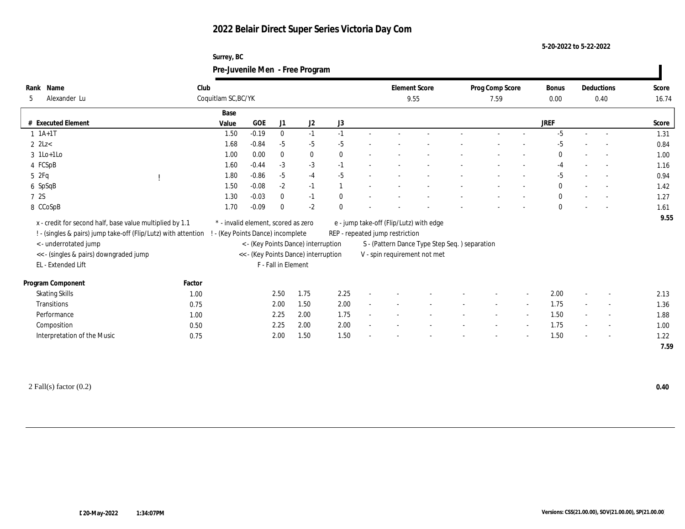#### **Surrey, BC Pre-Juvenile Men - Free Program**

|                                                                |        |                     |                                     |                     | $\sigma$                             |              |        |                                         |                                               |                          |                          |              |                          |                          |       |
|----------------------------------------------------------------|--------|---------------------|-------------------------------------|---------------------|--------------------------------------|--------------|--------|-----------------------------------------|-----------------------------------------------|--------------------------|--------------------------|--------------|--------------------------|--------------------------|-------|
| Name<br>Rank                                                   | Club   |                     |                                     |                     |                                      |              |        | <b>Element Score</b>                    |                                               | Prog Comp Score          |                          | Bonus        |                          | Deductions               | Score |
| Alexander Lu<br>5                                              |        | Coquitlam SC, BC/YK |                                     |                     |                                      |              |        |                                         | 9.55                                          | 7.59                     |                          | $0.00\,$     |                          | 0.40                     | 16.74 |
|                                                                |        | Base                |                                     |                     |                                      |              |        |                                         |                                               |                          |                          |              |                          |                          |       |
| # Executed Element                                             |        | Value               | GOE                                 | J1                  | J2                                   | J3           |        |                                         |                                               |                          |                          | <b>JREF</b>  |                          |                          | Score |
| $1 \t1A+1T$                                                    |        | 1.50                | $-0.19$                             | $\bf{0}$            | $-1$                                 | $-1$         |        |                                         |                                               |                          |                          | $-5$         | $\sim$                   | $\sim$                   | 1.31  |
| $2$ $2$ Lz                                                     |        | 1.68                | $-0.84$                             | $-5$                | $-5$                                 | $-5$         |        |                                         |                                               |                          |                          | $-5$         |                          |                          | 0.84  |
| $3$ 1Lo+1Lo                                                    |        | 1.00                | 0.00                                | $\bf{0}$            | $\bf{0}$                             | $\mathbf{0}$ |        |                                         |                                               |                          |                          | $\mathbf{0}$ |                          | $\overline{\phantom{a}}$ | 1.00  |
| 4 FCSpB                                                        |        | 1.60                | $-0.44$                             | $-3$                | $-3$                                 | $-1$         |        |                                         |                                               |                          |                          | $-4$         |                          | $\sim$                   | 1.16  |
| 5 2Fq                                                          |        | 1.80                | $-0.86$                             | $-5$                | $-4$                                 | $-5$         |        |                                         |                                               |                          |                          | -5           |                          | $\sim$                   | 0.94  |
| 6 SpSqB                                                        |        | 1.50                | $-0.08$                             | $-2$                | $-1$                                 |              |        |                                         |                                               |                          |                          | $\mathbf{0}$ |                          | $\sim$                   | 1.42  |
| 7 2S                                                           |        | 1.30                | $-0.03$                             | $\mathbf{0}$        | $-1$                                 | $\mathbf{0}$ |        |                                         |                                               |                          |                          | $\mathbf{0}$ |                          |                          | 1.27  |
| 8 CCoSpB                                                       |        | 1.70                | $-0.09$                             | $\mathbf{0}$        | $-2$                                 | $\theta$     |        |                                         |                                               |                          |                          | $\mathbf{0}$ |                          |                          | 1.61  |
| x - credit for second half, base value multiplied by 1.1       |        |                     | * - invalid element, scored as zero |                     |                                      |              |        | e - jump take-off (Flip/Lutz) with edge |                                               |                          |                          |              |                          |                          | 9.55  |
|                                                                |        |                     | - (Key Points Dance) incomplete     |                     |                                      |              |        | REP - repeated jump restriction         |                                               |                          |                          |              |                          |                          |       |
| ! - (singles & pairs) jump take-off (Flip/Lutz) with attention |        |                     |                                     |                     |                                      |              |        |                                         |                                               |                          |                          |              |                          |                          |       |
| <- underrotated jump                                           |        |                     |                                     |                     | < - (Key Points Dance) interruption  |              |        |                                         | S - (Pattern Dance Type Step Seq.) separation |                          |                          |              |                          |                          |       |
| << - (singles & pairs) downgraded jump<br>EL - Extended Lift   |        |                     |                                     | F - Fall in Element | << - (Key Points Dance) interruption |              |        |                                         | V - spin requirement not met                  |                          |                          |              |                          |                          |       |
|                                                                |        |                     |                                     |                     |                                      |              |        |                                         |                                               |                          |                          |              |                          |                          |       |
| Program Component                                              | Factor |                     |                                     |                     |                                      |              |        |                                         |                                               |                          |                          |              |                          |                          |       |
| <b>Skating Skills</b>                                          | 1.00   |                     |                                     | 2.50                | 1.75                                 | 2.25         |        |                                         |                                               |                          |                          | 2.00         |                          |                          | 2.13  |
| Transitions                                                    | 0.75   |                     |                                     | 2.00                | 1.50                                 | 2.00         | $\sim$ |                                         |                                               | $\overline{\phantom{a}}$ | $\sim$                   | 1.75         | $\overline{\phantom{a}}$ | $\overline{\phantom{a}}$ | 1.36  |
| Performance                                                    | 1.00   |                     |                                     | 2.25                | 2.00                                 | 1.75         |        |                                         |                                               |                          | $\overline{\phantom{a}}$ | 1.50         |                          | $\overline{\phantom{a}}$ | 1.88  |
| Composition                                                    | 0.50   |                     |                                     | 2.25                | 2.00                                 | 2.00         |        |                                         |                                               |                          |                          | 1.75         |                          | $\sim$                   | 1.00  |
| Interpretation of the Music                                    | 0.75   |                     |                                     | 2.00                | 1.50                                 | 1.50         |        |                                         |                                               |                          | $\overline{\phantom{a}}$ | 1.50         |                          | $\overline{\phantom{a}}$ | 1.22  |
|                                                                |        |                     |                                     |                     |                                      |              |        |                                         |                                               |                          |                          |              |                          |                          | 7.59  |
|                                                                |        |                     |                                     |                     |                                      |              |        |                                         |                                               |                          |                          |              |                          |                          |       |

 $\blacksquare$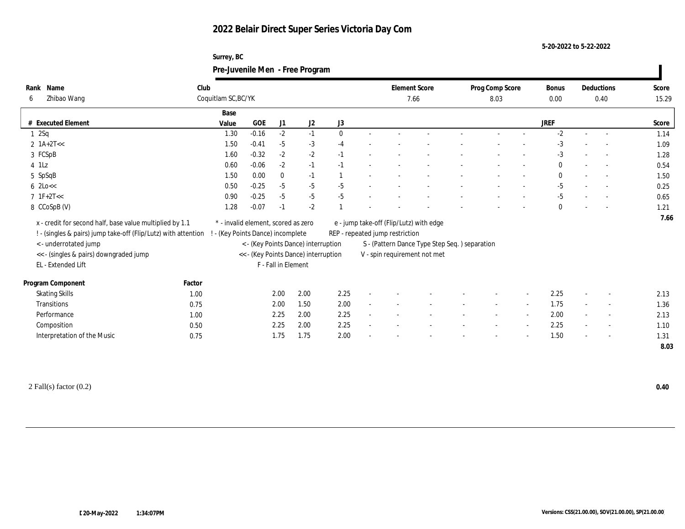#### **Surrey, BC Pre-Juvenile Men - Free Program**

|                                                          |                                                                |                                     |         |                     | $\mathbf{\sigma}$                    |          |        |                                         |                                                |                          |                          |              |                          |                          |       |
|----------------------------------------------------------|----------------------------------------------------------------|-------------------------------------|---------|---------------------|--------------------------------------|----------|--------|-----------------------------------------|------------------------------------------------|--------------------------|--------------------------|--------------|--------------------------|--------------------------|-------|
| Name<br>Rank                                             | Club                                                           |                                     |         |                     |                                      |          |        | <b>Element Score</b>                    |                                                | Prog Comp Score          |                          | Bonus        |                          | Deductions               | Score |
| Zhibao Wang<br>-6                                        |                                                                | Coquitlam SC, BC/YK                 |         |                     |                                      |          |        | 7.66                                    |                                                | 8.03                     |                          | 0.00         |                          | 0.40                     | 15.29 |
|                                                          |                                                                | Base                                |         |                     |                                      |          |        |                                         |                                                |                          |                          |              |                          |                          |       |
| # Executed Element                                       |                                                                | Value                               | GOE     | J1                  | J2                                   | J3       |        |                                         |                                                |                          |                          | JREF         |                          |                          | Score |
| $1 \quad 2Sq$                                            |                                                                | 1.30                                | $-0.16$ | $-2$                | $-1$                                 | $\theta$ |        |                                         |                                                |                          |                          | $-2$         |                          | $\sim$                   | 1.14  |
| $2 \text{ 1A+2T} <<$                                     |                                                                | 1.50                                | $-0.41$ | $-5$                | $-3$                                 | $-4$     |        |                                         |                                                |                          |                          | $-3$         |                          |                          | 1.09  |
| 3 FCSpB                                                  |                                                                | 1.60                                | $-0.32$ | $-2$                | $-2$                                 | $-1$     |        |                                         |                                                |                          |                          | $-3$         |                          |                          | 1.28  |
| $4$ 1Lz                                                  |                                                                | 0.60                                | $-0.06$ | $-2$                | $-1$                                 | $-1$     |        |                                         |                                                |                          |                          | $\mathbf{0}$ |                          |                          | 0.54  |
| 5 SpSqB                                                  |                                                                | 1.50                                | 0.00    | $\mathbf{0}$        | $-1$                                 |          |        |                                         |                                                |                          |                          | $\mathbf{0}$ |                          | $\overline{\phantom{a}}$ | 1.50  |
| $6 \text{ } 2 \text{Lo} <<$                              |                                                                | 0.50                                | $-0.25$ | $-5$                | $-5$                                 | $-5$     |        |                                         |                                                |                          |                          | $-5$         |                          |                          | 0.25  |
| $7 \text{ } 1F + 2T <<$                                  |                                                                | 0.90                                | $-0.25$ | $-5$                | $-5$                                 | $-5$     |        |                                         |                                                |                          |                          | $-5$         |                          |                          | 0.65  |
| 8 CCoSpB (V)                                             |                                                                | 1.28                                | $-0.07$ | $-1$                | $\text{-}2$                          |          |        |                                         |                                                |                          |                          | $\theta$     |                          |                          | 1.21  |
| x - credit for second half, base value multiplied by 1.1 |                                                                | * - invalid element, scored as zero |         |                     |                                      |          |        | e - jump take-off (Flip/Lutz) with edge |                                                |                          |                          |              |                          |                          | 7.66  |
|                                                          |                                                                |                                     |         |                     |                                      |          |        |                                         |                                                |                          |                          |              |                          |                          |       |
|                                                          | ! - (singles & pairs) jump take-off (Flip/Lutz) with attention | ! - (Key Points Dance) incomplete   |         |                     |                                      |          |        | REP - repeated jump restriction         |                                                |                          |                          |              |                          |                          |       |
| <- underrotated jump                                     |                                                                |                                     |         |                     | < - (Key Points Dance) interruption  |          |        |                                         | S - (Pattern Dance Type Step Seq. ) separation |                          |                          |              |                          |                          |       |
| << - (singles & pairs) downgraded jump                   |                                                                |                                     |         |                     | << - (Key Points Dance) interruption |          |        |                                         | V - spin requirement not met                   |                          |                          |              |                          |                          |       |
| EL - Extended Lift                                       |                                                                |                                     |         | F - Fall in Element |                                      |          |        |                                         |                                                |                          |                          |              |                          |                          |       |
| Program Component                                        | Factor                                                         |                                     |         |                     |                                      |          |        |                                         |                                                |                          |                          |              |                          |                          |       |
| <b>Skating Skills</b>                                    | 1.00                                                           |                                     |         | 2.00                | 2.00                                 | 2.25     |        |                                         |                                                |                          |                          | 2.25         |                          |                          | 2.13  |
| Transitions                                              | 0.75                                                           |                                     |         | 2.00                | 1.50                                 | 2.00     | $\sim$ |                                         |                                                | $\overline{\phantom{a}}$ | $\sim$                   | 1.75         | $\sim$                   | $\overline{\phantom{a}}$ | 1.36  |
| Performance                                              | 1.00                                                           |                                     |         | 2.25                | 2.00                                 | 2.25     |        |                                         |                                                |                          | $\overline{\phantom{a}}$ | 2.00         | $\overline{\phantom{a}}$ | $\sim$                   | 2.13  |
| Composition                                              | 0.50                                                           |                                     |         | 2.25                | 2.00                                 | 2.25     |        |                                         |                                                |                          |                          | 2.25         |                          | $\overline{\phantom{a}}$ | 1.10  |
| Interpretation of the Music                              | 0.75                                                           |                                     |         | 1.75                | 1.75                                 | 2.00     |        |                                         |                                                |                          |                          | 1.50         |                          | $\overline{a}$           | 1.31  |
|                                                          |                                                                |                                     |         |                     |                                      |          |        |                                         |                                                |                          |                          |              |                          |                          | 8.03  |
|                                                          |                                                                |                                     |         |                     |                                      |          |        |                                         |                                                |                          |                          |              |                          |                          |       |

 $\blacksquare$